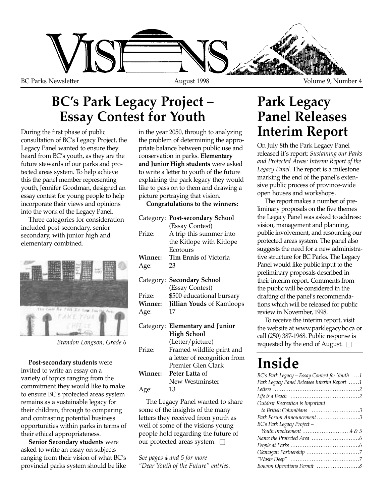

### **BC's Park Legacy Project – Essay Contest for Youth**

During the first phase of public consultation of BC's Legacy Project, the Legacy Panel wanted to ensure they heard from BC's youth, as they are the future stewards of our parks and protected areas system. To help achieve this the panel member representing youth, Jennifer Goodman, designed an essay contest for young people to help incorporate their views and opinions into the work of the Legacy Panel.

Three categories for consideration included post-secondary, senior secondary, with junior high and elementary combined.



**Post-secondary students** were invited to write an essay on a variety of topics ranging from the commitment they would like to make to ensure BC's protected areas system remains as a sustainable legacy for their children, through to comparing and contrasting potential business opportunities within parks in terms of their ethical appropriateness.

**Senior Secondary students** were asked to write an essay on subjects ranging from their vision of what BC's provincial parks system should be like in the year 2050, through to analyzing the problem of determining the appropriate balance between public use and conservation in parks. **Elementary and Junior High students** were asked to write a letter to youth of the future explaining the park legacy they would like to pass on to them and drawing a picture portraying that vision.

**Congratulations to the winners:**

| $\alpha$ are $\alpha$<br>gories for consideration<br>t-secondary, senior<br>ith junior high and<br>ombined. | Prize:          | Category: Post-secondary School<br>(Essay Contest)<br>A trip this summer into<br>the Kitlope with Kitlope<br>Ecotours | the Legacy Panel was asked to addres<br>vision, management and planning,<br>public involvement, and resourcing or<br>protected areas system. The panel also<br>suggests the need for a new administr |
|-------------------------------------------------------------------------------------------------------------|-----------------|-----------------------------------------------------------------------------------------------------------------------|------------------------------------------------------------------------------------------------------------------------------------------------------------------------------------------------------|
|                                                                                                             | Winner:         | Tim Ennis of Victoria                                                                                                 | tive structure for BC Parks. The Legac                                                                                                                                                               |
|                                                                                                             | Age:            | 23                                                                                                                    | Panel would like public input to the                                                                                                                                                                 |
|                                                                                                             |                 | Category: Secondary School<br>(Essay Contest)                                                                         | preliminary proposals described in<br>their interim report. Comments from<br>the public will be considered in the                                                                                    |
|                                                                                                             | Prize:          | \$500 educational bursary                                                                                             | drafting of the panel's recommenda-                                                                                                                                                                  |
| No. FIN IF THE INSTEAD                                                                                      | Winner:<br>Age: | <b>Jillian Youds of Kamloops</b><br>17                                                                                | tions which will be released for public<br>review in November, 1998.                                                                                                                                 |
|                                                                                                             |                 | Category: Elementary and Junior<br><b>High School</b>                                                                 | To receive the interim report, visit<br>the website at www.parklegacy.bc.ca<br>call (250) 387-1968. Public response is                                                                               |
| Brandon Longson, Grade 6                                                                                    | Prize:          | (Letter/picture)<br>Framed wildlife print and                                                                         | requested by the end of August. $\square$                                                                                                                                                            |
| dary students were                                                                                          |                 | a letter of recognition from<br>Premier Glen Clark                                                                    | Inside                                                                                                                                                                                               |
| ite an essay on a<br>pics ranging from the                                                                  | Winner:         | Peter Latta of<br>New Westminster                                                                                     | BC's Park Legacy - Essay Contest for Youth                                                                                                                                                           |
| they would like to make<br>'s protected areas system                                                        | Age:            | 13                                                                                                                    | Park Legacy Panel Releases Interim Report<br>I ife is a Reach                                                                                                                                        |

The Legacy Panel wanted to share some of the insights of the many letters they received from youth as well of some of the visions young people hold regarding the future of our protected areas system.  $\square$ 

*See pages 4 and 5 for more "Dear Youth of the Future" entries.*

### **Park Legacy Panel Releases Interim Report**

On July 8th the Park Legacy Panel released it's report: *Sustaining our Parks and Protected Areas: Interim Report of the Legacy Panel*. The report is a milestone marking the end of the panel's extensive public process of province-wide open houses and workshops.

The report makes a number of preliminary proposals on the five themes the Legacy Panel was asked to address: vision, management and planning, public involvement, and resourcing our protected areas system. The panel also suggests the need for a new administrative structure for BC Parks. The Legacy Panel would like public input to the preliminary proposals described in their interim report. Comments from the public will be considered in the drafting of the panel's recommendations which will be released for public review in November, 1998.

To receive the interim report, visit the website at www.parklegacy.bc.ca or

# **Inside**

| BC's Park Legacy – Essay Contest for Youth 1 |
|----------------------------------------------|
| Park Legacy Panel Releases Interim Report 1  |
|                                              |
|                                              |
| Outdoor Recreation is Important              |
| to British Columbians 3                      |
| Park Forum Announcement 3                    |
| BC's Park Legacy Project -                   |
| Youth Involvement 4 $\&$ 5                   |
|                                              |
|                                              |
|                                              |
|                                              |
|                                              |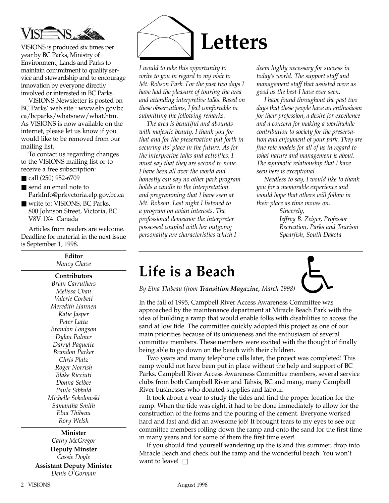

VISIONS is produced six times per year by BC Parks, Ministry of Environment, Lands and Parks to maintain commitment to quality service and stewardship and to encourage innovation by everyone directly involved or interested in BC Parks.

VISIONS Newsletter is posted on BC Parks' web site : www.elp.gov.bc. ca/bcparks/whatsnew/what.htm. As VISIONS is now available on the internet, please let us know if you would like to be removed from our mailing list.

To contact us regarding changes to the VISIONS mailing list or to receive a free subscription:

- call (250) 952-6709
- send an email note to ParkInfo@prkvctoria.elp.gov.bc.ca
- write to: VISIONS, BC Parks, 800 Johnson Street, Victoria, BC V8V 1X4 Canada

Articles from readers are welcome. Deadline for material in the next issue is September 1, 1998.

> **Editor** *Nancy Chave*

**Contributors**

*Brian Carruthers Melissa Chan Valerie Corbett Meredith Hannen Katie Jasper Peter Latta Brandon Longson Dylan Palmer Darryl Paquette Brandon Parker Chris Platz Roger Norrish Blake Ricciuti Donna Selbee Paula Sibbald Michelle Sokolowski Samantha Smith Elna Thibeau Rory Welsh*

**Minister** *Cathy McGregor*

**Deputy Minster** *Cassie Doyle*

**Assistant Deputy Minister** *Denis O'Gorman*



*I would to take this opportunity to write to you in regard to my visit to Mt. Robson Park. For the past two days I have had the pleasure of touring the area and attending interpretive talks. Based on these observations, I feel comfortable in submitting the following remarks.*

*The area is beautiful and abounds with majestic beauty. I thank you for that and for the preservation put forth in securing its' place in the future. As for the interpretive talks and activities, I must say that they are second to none. I have been all over the world and honestly can say no other park program holds a candle to the interpretation and programming that I have seen at Mt. Robson. Last night I listened to a program on avian interests. The professional demeanor the interpreter possessed coupled with her outgoing personality are characteristics which I*

*deem highly necessary for success in today's world. The support staff and management staff that assisted were as good as the best I have ever seen.* 

*I have found throughout the past two days that these people have an enthusiasm for their profession, a desire for excellence and a concern for making a worthwhile contribution to society for the preservation and enjoyment of your park. They are fine role models for all of us in regard to what nature and management is about. The symbiotic relationship that I have seen here is exceptional.*

*Needless to say, I would like to thank you for a memorable experience and would hope that others will follow in their place as time moves on.*

> *Sincerely, Jeffrey B. Zeiger, Professor Recreation, Parks and Tourism Spearfish, South Dakota*

### **Life is a Beach**

*By Elna Thibeau (from Transition Magazine, March 1998)*

In the fall of 1995, Campbell River Access Awareness Committee was approached by the maintenance department at Miracle Beach Park with the idea of building a ramp that would enable folks with disabilities to access the sand at low tide. The committee quickly adopted this project as one of our main priorities because of its uniqueness and the enthusiasm of several committee members. These members were excited with the thought of finally being able to go down on the beach with their children.

Two years and many telephone calls later, the project was completed! This ramp would not have been put in place without the help and support of BC Parks. Campbell River Access Awareness Committee members, several service clubs from both Campbell River and Tahsis, BC and many, many Campbell River businesses who donated supplies and labour.

It took about a year to study the tides and find the proper location for the ramp. When the tide was right, it had to be done immediately to allow for the construction of the forms and the pouring of the cement. Everyone worked hard and fast and did an awesome job! It brought tears to my eyes to see our committee members rolling down the ramp and onto the sand for the first time in many years and for some of them the first time ever!

If you should find yourself wandering up the island this summer, drop into Miracle Beach and check out the ramp and the wonderful beach. You won't want to leave!  $\square$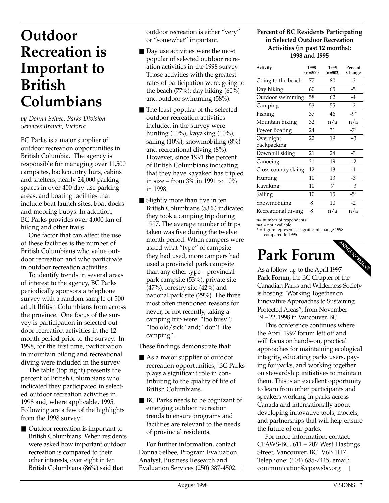### **Outdoor Recreation is Important to British Columbians**

*by Donna Selbee, Parks Division Services Branch, Victoria*

BC Parks is a major supplier of outdoor recreation opportunities in British Columbia. The agency is responsible for managing over 11,500 campsites, backcountry huts, cabins and shelters, nearly 24,000 parking spaces in over 400 day use parking areas, and boating facilities that include boat launch sites, boat docks and mooring buoys. In addition, BC Parks provides over 4,000 km of hiking and other trails.

One factor that can affect the use of these facilities is the number of British Columbians who value outdoor recreation and who participate in outdoor recreation activities.

To identify trends in several areas of interest to the agency, BC Parks periodically sponsors a telephone survey with a random sample of 500 adult British Columbians from across the province. One focus of the survey is participation in selected outdoor recreation activities in the 12 month period prior to the survey. In 1998, for the first time, participation in mountain biking and recreational diving were included in the survey.

The table (top right) presents the percent of British Columbians who indicated they participated in selected outdoor recreation activities in 1998 and, where applicable, 1995. Following are a few of the highlights from the 1998 survey:

■ Outdoor recreation is important to British Columbians. When residents were asked how important outdoor recreation is compared to their other interests, over eight in ten British Columbians (86%) said that

outdoor recreation is either "very" or "somewhat" important.

- Day use activities were the most popular of selected outdoor recreation activities in the 1998 survey. Those activities with the greatest rates of participation were: going to the beach (77%); day hiking (60%) and outdoor swimming (58%).
- The least popular of the selected outdoor recreation activities included in the survey were: hunting (10%), kayaking (10%); sailing (10%); snowmobiling (8%) and recreational diving (8%). However, since 1991 the percent of British Columbians indicating that they have kayaked has tripled in size – from 3% in 1991 to 10% in 1998.
- Slightly more than five in ten British Columbians (53%) indicated they took a camping trip during 1997. The average number of trips taken was five during the twelve month period. When campers were asked what "type" of campsite they had used, more campers had used a provincial park campsite than any other type – provincial park campsite (53%), private site (47%), forestry site (42%) and national park site (29%). The three most often mentioned reasons for never, or not recently, taking a camping trip were: "too busy"; "too old/sick" and; "don't like camping".

These findings demonstrate that:

- As a major supplier of outdoor recreation opportunities, BC Parks plays a significant role in contributing to the quality of life of British Columbians.
- BC Parks needs to be cognizant of emerging outdoor recreation trends to ensure programs and facilities are relevant to the needs of provincial residents.

For further information, contact Donna Selbee, Program Evaluation Analyst, Business Research and Evaluation Services (250) 387-4502.  $\Box$ 

#### **Percent of BC Residents Participating in Selected Outdoor Recreation Activities (in past 12 months): 1998 and 1995**

| Activity                 | 1998<br>$(n=500)$ | 1995<br>$(n=502)$ | Percent<br>Change |
|--------------------------|-------------------|-------------------|-------------------|
| Going to the beach       | 77                | 80                | -3                |
| Day hiking               | 60                | 65                | -5                |
| Outdoor swimming         | 58                | 62                | $-4$              |
| Camping                  | 53                | 55                | $-2$              |
| Fishing                  | 37                | 46                | $-9*$             |
| Mountain biking          | 32                | n/a               | n/a               |
| Power Boating            | 24                | 31                | $-7*$             |
| Overnight<br>backpacking | 22                | 19                | $+3$              |
| Downhill skiing          | 21                | 24                | -3                |
| Canoeing                 | 21                | 19                | $+2$              |
| Cross-country skiing     | 12                | 13                | $-1$              |
| Hunting                  | 10                | 13                | -3                |
| Kayaking                 | 10                | 7                 | $+3$              |
| Sailing                  | 10                | 15                | $-5*$             |
| Snowmobiling             | 8                 | 10                | $-2$              |
| Recreational diving      | 8                 | n/a               | n/a               |

**n**= number of respondents **n/a** = not available

**\*** = figure represents a significant change 1998 compared to 1995

# **Park Forum**

As a follow-up to the April 1997 **Park Forum**, the BC Chapter of the Canadian Parks and Wilderness Society is hosting "Working Together on Innovative Approaches to Sustaining Protected Areas", from November 19 – 22, 1998 in Vancouver, BC. **ANNOUNCEMENT** 

This conference continues where the April 1997 forum left off and will focus on hands-on, practical approaches for maintaining ecological integrity, educating parks users, paying for parks, and working together on stewardship initiatives to maintain them. This is an excellent opportunity to learn from other participants and speakers working in parks across Canada and internationally about developing innovative tools, models, and partnerships that will help ensure the future of our parks.

For more information, contact: CPAWS-BC, 611 – 207 West Hastings Street, Vancouver, BC V6B 1H7. Telephone: (604) 685-7445, email: communication@cpawsbc.org  $\Box$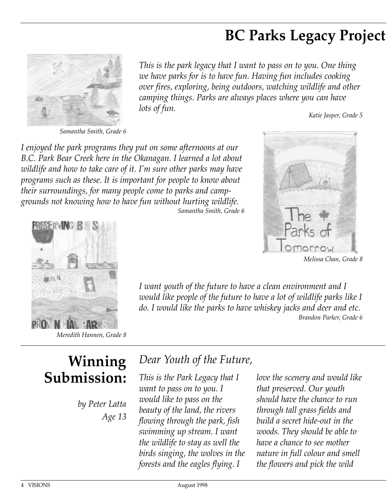### **BC Parks Legacy Project**



*This is the park legacy that I want to pass on to you. One thing we have parks for is to have fun. Having fun includes cooking over fires, exploring, being outdoors, watching wildlife and other camping things. Parks are always places where you can have lots of fun. Katie Jasper, Grade 5*

*I want youth of the future to have a clean environment and I*

*would like people of the future to have a lot of wildlife parks like I do. I would like the parks to have whiskey jacks and deer and etc.* 

*I enjoyed the park programs they put on some afternoons at our B.C. Park Bear Creek here in the Okanagan. I learned a lot about wildlife and how to take care of it. I'm sure other parks may have programs such as these. It is important for people to know about their surroundings, for many people come to parks and campgrounds not knowing how to have fun without hurting wildlife.*

*Samantha Smith, Grade 6*



*Melissa Chan, Grade 8*

*Brandon Parker, Grade 6*



*Meredith Hannen, Grade 8*

## **Winning Submission:**

*by Peter Latta Age 13*

#### *Dear Youth of the Future,*

*This is the Park Legacy that I want to pass on to you. I would like to pass on the beauty of the land, the rivers flowing through the park, fish swimming up stream. I want the wildlife to stay as well the birds singing, the wolves in the forests and the eagles flying. I*

*love the scenery and would like that preserved. Our youth should have the chance to run through tall grass fields and build a secret hide-out in the woods. They should be able to have a chance to see mother nature in full colour and smell the flowers and pick the wild*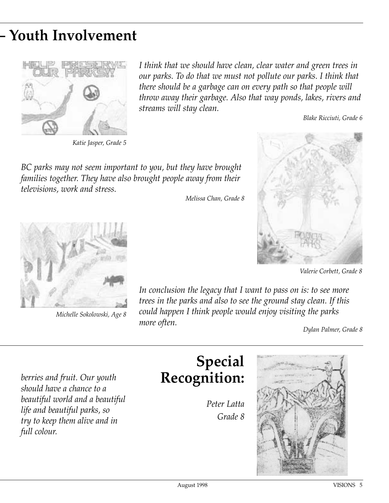# **– Youth Involvement**



*Katie Jasper, Grade 5*

*I think that we should have clean, clear water and green trees in our parks. To do that we must not pollute our parks. I think that there should be a garbage can on every path so that people will throw away their garbage. Also that way ponds, lakes, rivers and streams will stay clean.*

*Blake Ricciuti, Grade 6*

*BC parks may not seem important to you, but they have brought families together. They have also brought people away from their televisions, work and stress.*

*Melissa Chan, Grade 8*



*Valerie Corbett, Grade 8*



*Michelle Sokolowski, Age 8* 

*In conclusion the legacy that I want to pass on is: to see more trees in the parks and also to see the ground stay clean. If this could happen I think people would enjoy visiting the parks more often. Dylan Palmer, Grade 8*

*berries and fruit. Our youth should have a chance to a beautiful world and a beautiful life and beautiful parks, so try to keep them alive and in full colour.*

### **Special Recognition:**

*Peter Latta Grade 8*

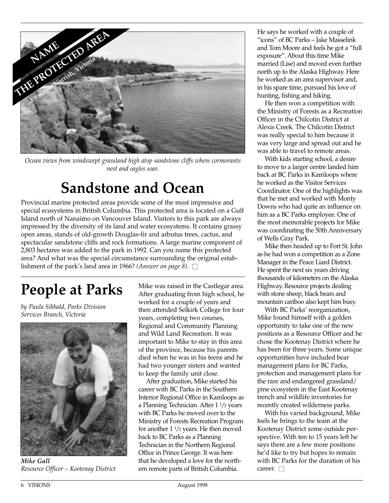

*Ocean views from windswept grassland high atop sandstone cliffs where cormorants nest and eagles soar.*

### **Sandstone and Ocean**

Provincial marine protected areas provide some of the most impressive and special ecosystems in British Columbia. This protected area is located on a Gulf Island north of Nanaimo on Vancouver Island. Visitors to this park are always impressed by the diversity of its land and water ecosystems. It contains grassy open areas, stands of old-growth Douglas-fir and arbutus trees, cactus, and spectacular sandstone cliffs and rock formations. A large marine component of 2,803 hectares was added to the park in 1992. Can you name this protected area? And what was the special circumstance surrounding the original establishment of the park's land area in 1966? *(Answer on page 8)*.  $\square$ 

# **People at Parks**

*by Paula Sibbald, Parks Division Services Branch, Victoria*



*Mike Gall Resource Officer – Kootenay District*

Mike was raised in the Castlegar area. After graduating from high school, he worked for a couple of years and then attended Selkirk College for four years, completing two courses, Regional and Community Planning and Wild Land Recreation. It was important to Mike to stay in this area of the province, because his parents died when he was in his teens and he had two younger sisters and wanted to keep the family unit close.

After graduation, Mike started his career with BC Parks in the Southern Interior Regional Office in Kamloops as a Planning Technician. After 1 1/2 years with BC Parks he moved over to the Ministry of Forests Recreation Program for another  $1\frac{1}{2}$  years. He then moved back to BC Parks as a Planning Technician in the Northern Regional Office in Prince George. It was here that he developed a love for the northern remote parts of British Columbia.

He says he worked with a couple of "icons" of BC Parks – Jake Masselink and Tom Moore and feels he got a "full exposure". About this time Mike married (Lise) and moved even further north up to the Alaska Highway. Here he worked as an area supervisor and, in his spare time, pursued his love of hunting, fishing and hiking.

He then won a competition with the Ministry of Forests as a Recreation Officer in the Chilcotin District at Alexis Creek. The Chilcotin District was really special to him because it was very large and spread out and he was able to travel to remote areas.

With kids starting school, a desire to move to a larger centre landed him back at BC Parks in Kamloops where he worked as the Visitor Services Coordinator. One of the highlights was that he met and worked with Monty Downs who had quite an influence on him as a BC Parks employee. One of the most memorable projects for Mike was coordinating the 50th Anniversary of Wells Gray Park.

Mike then headed up to Fort St. John as he had won a competition as a Zone Manager in the Peace Liard District. He spent the next six years driving thousands of kilometers on the Alaska Highway. Resource projects dealing with stone sheep, black bears and mountain cariboo also kept him busy.

With BC Parks' reorganization, Mike found himself with a golden opportunity to take one of the new positions as a Resource Officer and he chose the Kootenay District where he has been for three years. Some unique opportunities have included bear management plans for BC Parks, protection and management plans for the rare and endangered grassland/ pine ecosystem in the East Kootenay trench and wildlife inventories for recently created wilderness parks.

With his varied background, Mike feels he brings to the team at the Kootenay District some outside perspective. With ten to 15 years left he says there are a few more positions he'd like to try but hopes to remain with BC Parks for the duration of his career.  $\Box$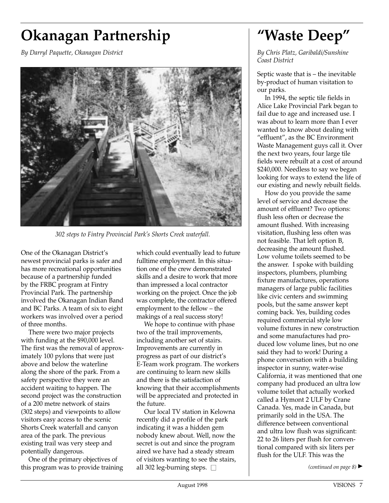# **Okanagan Partnership**

*By Darryl Paquette, Okanagan District*



*302 steps to Fintry Provincial Park's Shorts Creek waterfall.*

One of the Okanagan District's newest provincial parks is safer and has more recreational opportunities because of a partnership funded by the FRBC program at Fintry Provincial Park. The partnership involved the Okanagan Indian Band and BC Parks. A team of six to eight workers was involved over a period of three months.

There were two major projects with funding at the \$90,000 level. The first was the removal of approximately 100 pylons that were just above and below the waterline along the shore of the park. From a safety perspective they were an accident waiting to happen. The second project was the construction of a 200 metre network of stairs (302 steps) and viewpoints to allow visitors easy access to the scenic Shorts Creek waterfall and canyon area of the park. The previous existing trail was very steep and potentially dangerous.

One of the primary objectives of this program was to provide training which could eventually lead to future fulltime employment. In this situation one of the crew demonstrated skills and a desire to work that more than impressed a local contractor working on the project. Once the job was complete, the contractor offered employment to the fellow – the makings of a real success story!

We hope to continue with phase two of the trail improvements, including another set of stairs. Improvements are currently in progress as part of our district's E-Team work program. The workers are continuing to learn new skills and there is the satisfaction of knowing that their accomplishments will be appreciated and protected in the future.

Our local TV station in Kelowna recently did a profile of the park indicating it was a hidden gem nobody knew about. Well, now the secret is out and since the program aired we have had a steady stream of visitors wanting to see the stairs, all 302 leg-burning steps.  $\Box$ 

## **"Waste Deep"**

*By Chris Platz, Garibaldi/Sunshine Coast District*

Septic waste that is – the inevitable by-product of human visitation to our parks.

In 1994, the septic tile fields in Alice Lake Provincial Park began to fail due to age and increased use. I was about to learn more than I ever wanted to know about dealing with "effluent", as the BC Environment Waste Management guys call it. Over the next two years, four large tile fields were rebuilt at a cost of around \$240,000. Needless to say we began looking for ways to extend the life of our existing and newly rebuilt fields.

How do you provide the same level of service and decrease the amount of effluent? Two options: flush less often or decrease the amount flushed. With increasing visitation, flushing less often was not feasible. That left option B, decreasing the amount flushed. Low volume toilets seemed to be the answer. I spoke with building inspectors, plumbers, plumbing fixture manufactures, operations managers of large public facilities like civic centers and swimming pools, but the same answer kept coming back. Yes, building codes required commercial style low volume fixtures in new construction and some manufactures had produced low volume lines, but no one said they had to work! During a phone conversation with a building inspector in sunny, water-wise California, it was mentioned that one company had produced an ultra low volume toilet that actually worked called a Hymont 2 ULF by Crane Canada. Yes, made in Canada, but primarily sold in the USA. The difference between conventional and ultra low flush was significant: 22 to 26 liters per flush for conventional compared with six liters per flush for the ULF. This was the

*(continued on page 8)* ▲